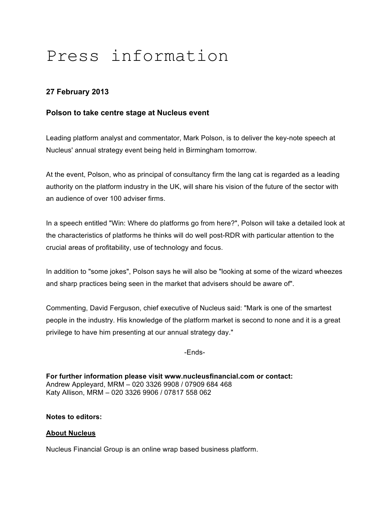# Press information

## **27 February 2013**

### **Polson to take centre stage at Nucleus event**

Leading platform analyst and commentator, Mark Polson, is to deliver the key-note speech at Nucleus' annual strategy event being held in Birmingham tomorrow.

At the event, Polson, who as principal of consultancy firm the lang cat is regarded as a leading authority on the platform industry in the UK, will share his vision of the future of the sector with an audience of over 100 adviser firms.

In a speech entitled "Win: Where do platforms go from here?", Polson will take a detailed look at the characteristics of platforms he thinks will do well post-RDR with particular attention to the crucial areas of profitability, use of technology and focus.

In addition to "some jokes", Polson says he will also be "looking at some of the wizard wheezes and sharp practices being seen in the market that advisers should be aware of".

Commenting, David Ferguson, chief executive of Nucleus said: "Mark is one of the smartest people in the industry. His knowledge of the platform market is second to none and it is a great privilege to have him presenting at our annual strategy day."

-Ends-

**For further information please visit www.nucleusfinancial.com or contact:** Andrew Appleyard, MRM – 020 3326 9908 / 07909 684 468 Katy Allison, MRM – 020 3326 9906 / 07817 558 062

#### **Notes to editors:**

#### **About Nucleus**

Nucleus Financial Group is an online wrap based business platform.